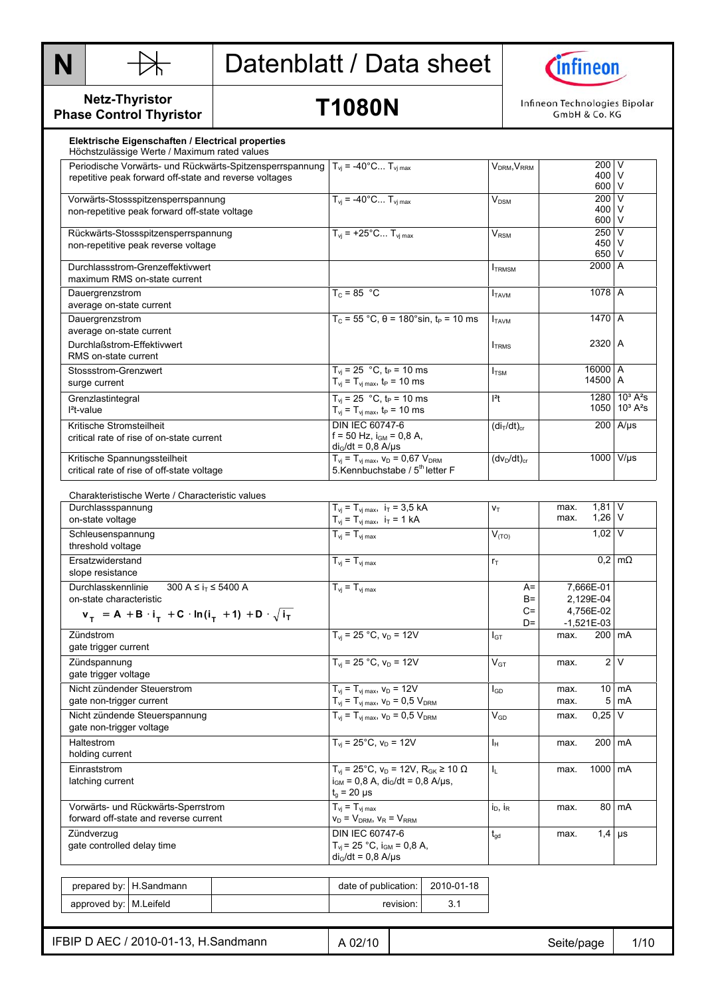



**Netz-Thyristor Phase Control Thyristor** 

**T1080N** 

Infineon Technologies Bipolar GmbH & Co. KG

| Höchstzulässige Werte / Maximum rated values<br>Periodische Vorwärts- und Rückwärts-Spitzensperrspannung $T_{vi}$ = -40°C T <sub>vimax</sub> |                                                                                                 |                           | $V_{DRM}$ , $V_{RRM}$               |                    | 200 V                     |                                       |
|----------------------------------------------------------------------------------------------------------------------------------------------|-------------------------------------------------------------------------------------------------|---------------------------|-------------------------------------|--------------------|---------------------------|---------------------------------------|
| repetitive peak forward off-state and reverse voltages                                                                                       |                                                                                                 |                           |                                     | 400 V<br>600 V     |                           |                                       |
| Vorwärts-Stossspitzensperrspannung                                                                                                           | $T_{vi}$ = -40°C $T_{vi \, max}$                                                                | $\mathsf{V}_\mathsf{DSM}$ |                                     | $200$ V            |                           |                                       |
| non-repetitive peak forward off-state voltage                                                                                                |                                                                                                 |                           |                                     |                    | 400 V<br>600 V            |                                       |
| Rückwärts-Stossspitzensperrspannung                                                                                                          | $T_{vi}$ = +25°C $T_{vi \, max}$                                                                |                           | <b>V<sub>RSM</sub></b>              |                    | $250$ V                   |                                       |
| non-repetitive peak reverse voltage                                                                                                          |                                                                                                 |                           |                                     |                    | 450 V                     |                                       |
|                                                                                                                                              |                                                                                                 |                           |                                     |                    | 650 V<br>2000 A           |                                       |
| Durchlassstrom-Grenzeffektivwert<br>maximum RMS on-state current                                                                             |                                                                                                 |                           | <b>ITRMSM</b>                       |                    |                           |                                       |
| Dauergrenzstrom                                                                                                                              | $T_c = 85 °C$                                                                                   |                           | <b>I</b> TAVM                       |                    | 1078 A                    |                                       |
| average on-state current                                                                                                                     |                                                                                                 |                           |                                     |                    |                           |                                       |
| Dauergrenzstrom                                                                                                                              | $T_c = 55 °C$ , $\theta = 180 °\sin$ , $t_P = 10$ ms                                            |                           | <b>I</b> TAVM                       |                    | 1470 A                    |                                       |
| average on-state current                                                                                                                     |                                                                                                 |                           |                                     |                    |                           |                                       |
| Durchlaßstrom-Effektivwert                                                                                                                   |                                                                                                 |                           | <b>ITRMS</b>                        |                    | 2320 A                    |                                       |
| RMS on-state current                                                                                                                         |                                                                                                 |                           |                                     |                    |                           |                                       |
| Stossstrom-Grenzwert                                                                                                                         | $T_{vi}$ = 25 °C, t <sub>P</sub> = 10 ms                                                        |                           | $I_{\text{TSM}}$                    |                    | 16000 A                   |                                       |
| surge current                                                                                                                                | $T_{vi} = T_{vi \, max}$ , $t_P = 10 \, ms$                                                     |                           |                                     |                    | 14500 A                   |                                       |
| Grenzlastintegral                                                                                                                            | $T_{vi}$ = 25 °C, t <sub>P</sub> = 10 ms                                                        |                           | $ ^{2}t $                           |                    |                           | 1280 10 <sup>3</sup> A <sup>2</sup> s |
| $l^2$ t-value                                                                                                                                | $T_{\rm vj} = T_{\rm vj \, max}$ , $t_{\rm P} = 10 \, \text{ms}$                                |                           |                                     |                    |                           | 1050 10 <sup>3</sup> A <sup>2</sup> s |
| Kritische Stromsteilheit                                                                                                                     | DIN IEC 60747-6                                                                                 |                           | (di <sub>T</sub> /dt) <sub>cr</sub> |                    |                           | $200$ A/µs                            |
| critical rate of rise of on-state current                                                                                                    | $f = 50$ Hz, $i_{GM} = 0.8$ A,<br>$di_G/dt = 0.8$ A/ $\mu$ s                                    |                           |                                     |                    |                           |                                       |
| Kritische Spannungssteilheit                                                                                                                 | $T_{vi} = T_{vi \, max}$ , $V_D = 0.67 V_{DRM}$                                                 |                           | $(dv_D/dt)_{cr}$                    |                    |                           | 1000 V/µs                             |
| critical rate of rise of off-state voltage                                                                                                   | 5.Kennbuchstabe / 5 <sup>th</sup> letter F                                                      |                           |                                     |                    |                           |                                       |
|                                                                                                                                              |                                                                                                 |                           |                                     |                    |                           |                                       |
| Charakteristische Werte / Characteristic values                                                                                              |                                                                                                 |                           |                                     |                    |                           |                                       |
| Durchlassspannung                                                                                                                            | $T_{\text{vj}} = T_{\text{vj max}}$ , $i_T = 3.5 \text{ kA}$                                    | $V_T$                     | max.<br>max.                        | 1,81 V<br>$1,26$ V |                           |                                       |
| on-state voltage                                                                                                                             | $T_{\rm vj} = T_{\rm vj \, max}, \ \ i_{\rm T} = 1 \, kA$                                       |                           |                                     |                    |                           |                                       |
| Schleusenspannung<br>threshold voltage                                                                                                       | $T_{vi} = T_{vi \, max}$                                                                        | $V_{(TO)}$                |                                     | $1,02$ V           |                           |                                       |
| Ersatzwiderstand                                                                                                                             | $T_{\rm vj} = T_{\rm vj \, max}$                                                                |                           | $r_T$                               |                    |                           | $0.2 \, \text{m}\Omega$               |
| slope resistance                                                                                                                             |                                                                                                 |                           |                                     |                    |                           |                                       |
| 300 A ≤ $i_T$ ≤ 5400 A<br>Durchlasskennlinie                                                                                                 | $T_{vi} = T_{vi \, max}$                                                                        | $A=$                      |                                     | 7,666E-01          |                           |                                       |
| on-state characteristic                                                                                                                      |                                                                                                 | $B=$                      |                                     | 2.129E-04          |                           |                                       |
| $v_T = A + B \cdot i_T + C \cdot ln(i_T + 1) + D \cdot \sqrt{i_T}$                                                                           |                                                                                                 |                           | $C =$<br>D=                         |                    | 4,756E-02<br>$-1,521E-03$ |                                       |
| Zündstrom                                                                                                                                    | $T_{vi}$ = 25 °C, $v_D$ = 12V                                                                   |                           | $I_{GT}$                            | max.               |                           | 200   mA                              |
| gate trigger current                                                                                                                         |                                                                                                 |                           |                                     |                    |                           |                                       |
| Zündspannung                                                                                                                                 | $T_{\rm vj}$ = 25 °C, $v_{\rm D}$ = 12V                                                         |                           | $V_{GT}$                            | max.               |                           | 2V                                    |
| gate trigger voltage                                                                                                                         |                                                                                                 |                           |                                     |                    |                           |                                       |
| Nicht zündender Steuerstrom                                                                                                                  | $T_{vj} = T_{vj \, max}, v_D = 12V$                                                             | $I_{GD}$                  | max.                                |                    | $10 \, \text{mA}$         |                                       |
| gate non-trigger current                                                                                                                     | $T_{\rm vj} = T_{\rm vj \, max}$ , $V_{\rm D} = 0.5$ $V_{\rm DRM}$                              |                           |                                     | max.               |                           | $5 \text{ mA}$                        |
| Nicht zündende Steuerspannung                                                                                                                | $T_{vi} = T_{vi \, max}$ , $V_D = 0.5 V_{DRM}$                                                  |                           | $V_{GD}$                            | max.               | $0,25$ V                  |                                       |
| gate non-trigger voltage                                                                                                                     |                                                                                                 |                           |                                     |                    |                           |                                       |
| Haltestrom                                                                                                                                   | $T_{vi}$ = 25°C, $v_D$ = 12V                                                                    |                           | Iн                                  | max.               | 200 mA                    |                                       |
| holding current                                                                                                                              |                                                                                                 |                           |                                     |                    |                           |                                       |
| Einraststrom                                                                                                                                 | $T_{vj}$ = 25°C, $v_D$ = 12V, R <sub>GK</sub> ≥ 10 Ω<br>$i_{GM} = 0.8$ A, $di_G/dt = 0.8$ A/us, |                           | I <sub>L</sub>                      | max.               | 1000 mA                   |                                       |
| latching current                                                                                                                             | $t_{o}$ = 20 µs                                                                                 |                           |                                     |                    |                           |                                       |
| Vorwärts- und Rückwärts-Sperrstrom                                                                                                           | $T_{vi} = T_{vi \, max}$                                                                        |                           | $i_D$ , $i_R$                       | max.               |                           | 80 mA                                 |
| forward off-state and reverse current                                                                                                        | $v_D = V_{DRM}$ , $v_R = V_{RRM}$                                                               |                           |                                     |                    |                           |                                       |
|                                                                                                                                              | DIN IEC 60747-6                                                                                 |                           | $t_{gd}$                            | max.               | $1,4$ µs                  |                                       |
|                                                                                                                                              | $T_{\rm vj}$ = 25 °C, $i_{\rm GM}$ = 0,8 A,                                                     |                           |                                     |                    |                           |                                       |
| Zündverzug                                                                                                                                   |                                                                                                 |                           |                                     |                    |                           |                                       |
| gate controlled delay time                                                                                                                   | $di_G/dt = 0.8$ A/ $\mu$ s                                                                      |                           |                                     |                    |                           |                                       |
|                                                                                                                                              |                                                                                                 |                           |                                     |                    |                           |                                       |
| prepared by:   H.Sandmann                                                                                                                    | date of publication:                                                                            | 2010-01-18                |                                     |                    |                           |                                       |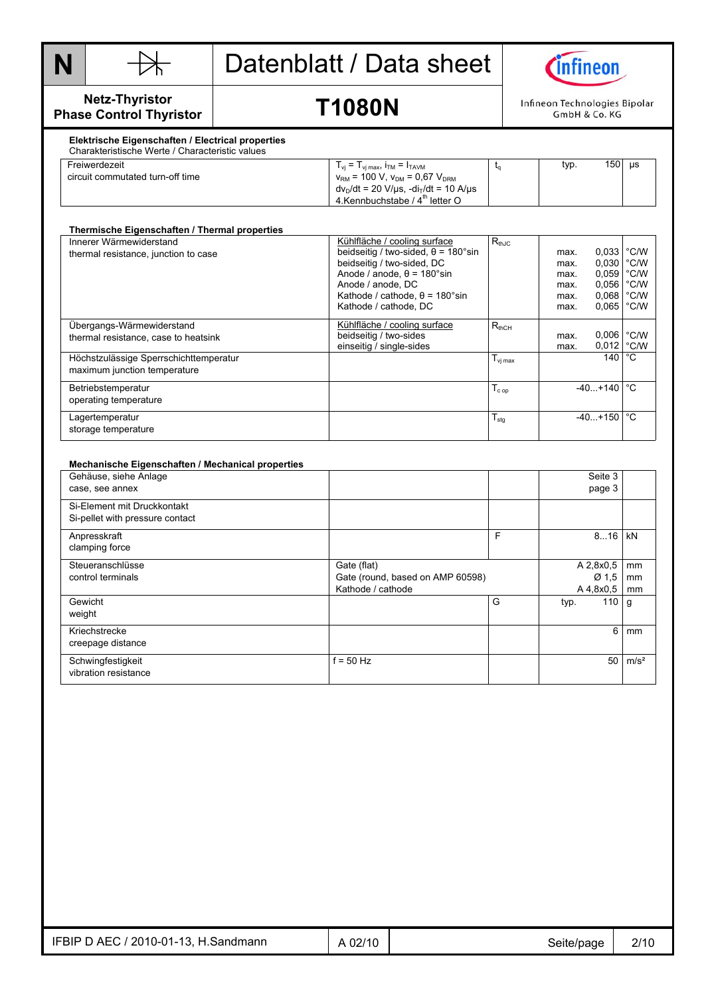



#### **Netz-Thyristor Phase Control Thyristor**

## **T1080N**

Infineon Technologies Bipolar GmbH & Co. KG

#### **Elektrische Eigenschaften / Electrical properties**  Charakteristische Werte / Characteristic values

| <u> Chanantonouveno i i che i chanactonouv i alace</u> |                                                                              |      |     |    |
|--------------------------------------------------------|------------------------------------------------------------------------------|------|-----|----|
| Freiwerdezeit                                          | $T_{vi} = T_{vi \text{ max}}$ , $i_{TM} = I_{TAVM}$                          | typ. | 150 | μs |
| circuit commutated turn-off time                       | $v_{\text{RM}}$ = 100 V, $v_{\text{DM}}$ = 0,67 $V_{\text{DRM}}$             |      |     |    |
|                                                        | $dv_D/dt = 20 \text{ V/}\mu\text{s}$ , $-di_T/dt = 10 \text{ A/}\mu\text{s}$ |      |     |    |
|                                                        | 4. Kennbuchstabe / 4 <sup>th</sup> letter O                                  |      |     |    |

| Thermische Eigenschaften / Thermal properties |                                            |                     |      |                        |               |
|-----------------------------------------------|--------------------------------------------|---------------------|------|------------------------|---------------|
| Innerer Wärmewiderstand                       | Kühlfläche / cooling surface               | $R_{th,IC}$         |      |                        |               |
| thermal resistance, junction to case          | beidseitig / two-sided, $\theta$ = 180°sin |                     | max. | $0.033$ $^{\circ}$ C/W |               |
|                                               | beidseitig / two-sided, DC                 |                     | max. | 0,030 °C/W             |               |
|                                               | Anode / anode. $\theta$ = 180°sin          |                     | max. | 0,059                  | $\degree$ C/W |
|                                               | Anode / anode, DC                          |                     | max. | 0,056                  | $\degree$ C/W |
|                                               | Kathode / cathode, $\theta$ = 180°sin      |                     | max. | $0,068$ $^{\circ}$ C/W |               |
|                                               | Kathode / cathode. DC                      |                     | max. | 0,065                  | °C/W          |
| Ubergangs-Wärmewiderstand                     | Kühlfläche / cooling surface               | $R_{thCH}$          |      |                        |               |
| thermal resistance, case to heatsink          | beidseitig / two-sides                     |                     | max. | 0,006                  | $\degree$ C/W |
|                                               | einseitig / single-sides                   |                     | max. | $0,012$ °C/W           |               |
| Höchstzulässige Sperrschichttemperatur        |                                            | $T_{\text{vj max}}$ |      | 140 l                  | $^{\circ}$ C  |
| maximum junction temperature                  |                                            |                     |      |                        |               |
| Betriebstemperatur                            |                                            | $T_{c \text{ op}}$  |      | $-40+140$              | °€            |
| operating temperature                         |                                            |                     |      |                        |               |
| Lagertemperatur                               |                                            | $T_{\text{stg}}$    |      | $-40+150$              | °C            |
| storage temperature                           |                                            |                     |      |                        |               |

#### **Mechanische Eigenschaften / Mechanical properties**  Gehäuse, siehe Anlage case, see annex Seite 3 and 3 and 3 and 3 and 3 and 3 and 3 and 3 and 3 and 3 and 3 and 3 and 3 and 3 and 3 and 3 page 3 Si-Element mit Druckkontakt Si-pellet with pressure contact Anpresskraft clamping force F 8...16 KN **Steueranschlüsse** control terminals Gate (flat) Gate (round, based on AMP 60598) Kathode / cathode A 2,8x0,5 Ø 1,5  $A\frac{4,8x0,5}{110}$ mm mm mm Gewicht weight G typ. 110 g Kriechstrecke creepage distance 6 mm **Schwingfestigkeit** vibration resistance  $f = 50$  Hz  $f = 50$  m/s<sup>2</sup>

| - AEC ر<br>′ 2010-01-13,<br>IFBIP L<br>-l.Sandmann<br><u>п</u><br>ັ | 02/10<br>UZI | Seite/bade<br>ັ | 2/10<br>the contract of the contract of the |
|---------------------------------------------------------------------|--------------|-----------------|---------------------------------------------|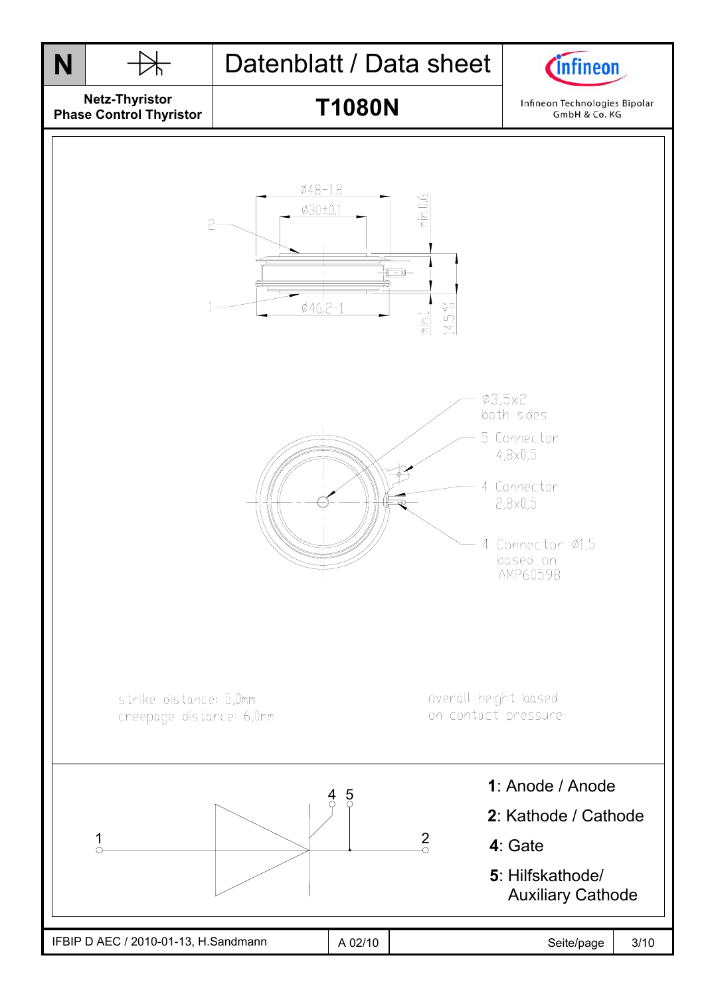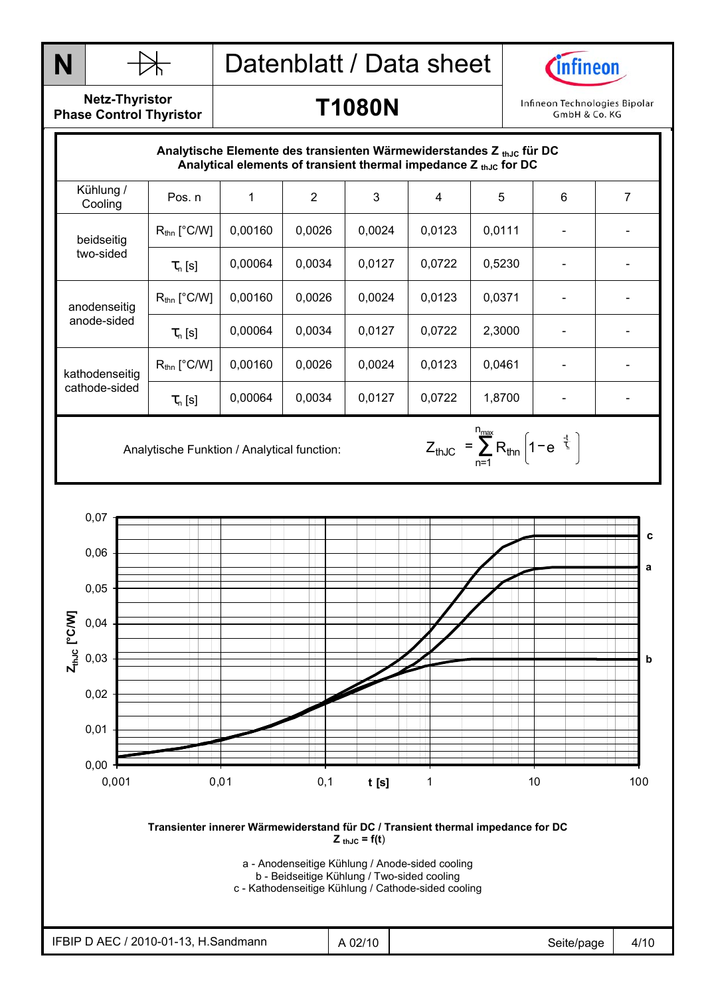



**Netz-Thyristor Phase Control Thyristor** 

#### **T1080N**

Infineon Technologies Bipolar GmbH & Co. KG

|                                 | Analytische Elemente des transienten Wärmewiderstandes $Z_{th,lc}$ für DC | Analytical elements of transient thermal impedance $Z_{thJC}$ for DC |                |        |        |        |   |   |
|---------------------------------|---------------------------------------------------------------------------|----------------------------------------------------------------------|----------------|--------|--------|--------|---|---|
| Kühlung /<br>Cooling            | Pos. n                                                                    |                                                                      | $\overline{2}$ | 3      | 4      | 5      | 6 | 7 |
| beidseitig<br>two-sided         | $R_{\text{thn}}$ [°C/W]                                                   | 0,00160                                                              | 0,0026         | 0,0024 | 0,0123 | 0,0111 |   |   |
|                                 | $\tau_{n}$ [s]                                                            | 0,00064                                                              | 0,0034         | 0,0127 | 0,0722 | 0,5230 |   |   |
| anodenseitig<br>anode-sided     | $R_{\text{thn}}$ [°C/W]                                                   | 0,00160                                                              | 0,0026         | 0,0024 | 0,0123 | 0,0371 |   |   |
|                                 | $\tau_{n}$ [s]                                                            | 0,00064                                                              | 0.0034         | 0,0127 | 0,0722 | 2,3000 |   |   |
| kathodenseitig<br>cathode-sided | $R_{\text{thn}}$ [°C/W]                                                   | 0,00160                                                              | 0,0026         | 0,0024 | 0,0123 | 0,0461 |   |   |
|                                 | $\tau_{n}$ [s]                                                            | 0,00064                                                              | 0,0034         | 0,0127 | 0,0722 | 1,8700 |   |   |

n<sub>max</sub>

n=1 thJC  $=$   $\sum$   $R_{\text{thin}}$  | 1  $-$  e  $^{-}$   $\frac{1}{2}$  $Z_{thJC} = \sum_{\text{thn}} R_{\text{thn}} \left[ 1 - e^{-\frac{t}{\tau_c}} \right]$ 

Analytische Funktion / Analytical function:  $Z_{thJC} = \sum_{n=1}^{\infty} R_{thn} \left| 1 - e^{-\frac{1}{\zeta}} \right|$ 



**Transienter innerer Wärmewiderstand für DC / Transient thermal impedance for DC**   $Z_{thJC} = f(t)$ 

a - Anodenseitige Kühlung / Anode-sided cooling

b - Beidseitige Kühlung / Two-sided cooling c - Kathodenseitige Kühlung / Cathode-sided cooling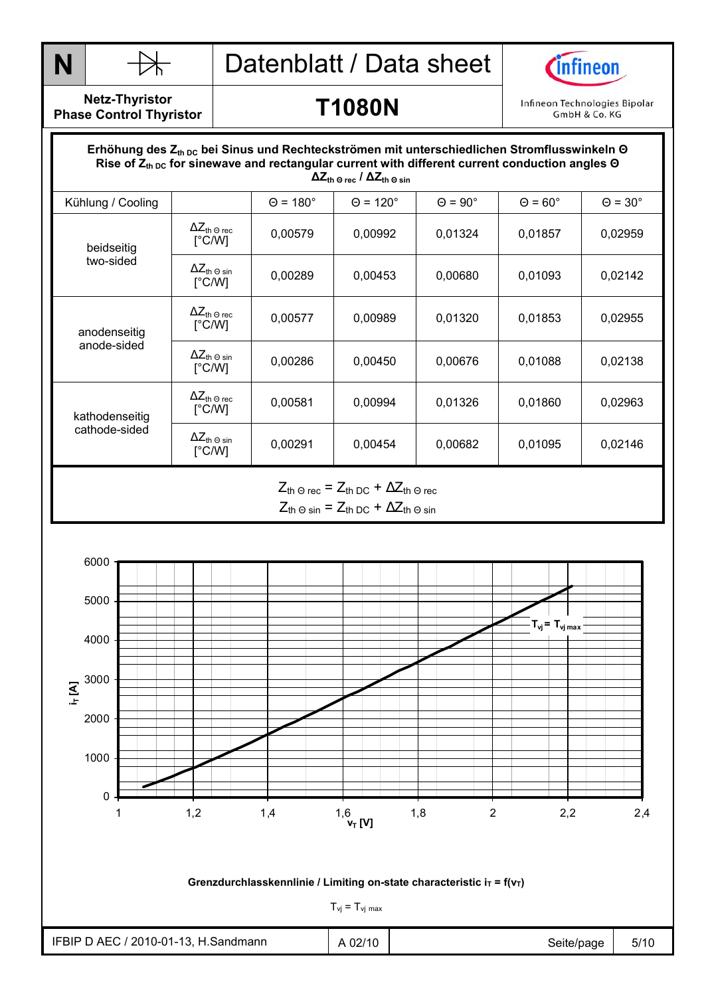



**Netz-Thyristor Phase Control Thyristor** 

#### **T1080N**

Infineon Technologies Bipolar GmbH & Co. KG

#### Durchlasskennlinie  **∆Zth Θ rec / ∆Zth Θ sin** Erhöhung des Z<sub>th DC</sub> bei Sinus und Rechteckströmen mit unterschiedlichen Stromflusswinkeln Θ Rise of  $Z_{th\,DC}$  for sinewave and rectangular current with different current conduction angles Θ Kühlung / Cooling  $\begin{vmatrix} \theta = 180^\circ & \theta = 120^\circ & \theta = 90^\circ & \theta = 60^\circ & \theta = 30^\circ \end{vmatrix}$  $ΔZ<sub>th</sub> ⊙ rec$ [°C/W] <del>1⊂lli</del> 9rec | 0,00579 | 0,00992 | 0,01324 | 0,01857 | 0,02959 |<br>[°C/W] | 0,00579 | 0,00992 | 0,01324 | 0,01857 | 0,02959 beidseitig two-sided  $\Delta Z_{\text{th}}$   $\odot$  sin<br> $[^{\circ}C/W]$ <del>^</del>⊆th 9 sin | 0,00289 | 0,00453 | 0,00680 | 0,01093 | 0,02142 |<br>[°C/W] | 0,00289 | 0,00453 | 0,00680 | 0,01093 | 0,02142  $\Delta Z_{\text{th} \, \Theta \, \text{rec}}$ [°C/W] <del>¥⊆ln</del> 9rec | 0,00577 | 0,00989 | 0,01320 | 0,01853 | 0,02955 |<br>[°C/W] | 0,00577 | 0,00989 | 0,01320 | 0,01853 | 0,02955 anodenseitig anode-sided  $ΔZ<sub>th</sub> ⊕ sin$ [°C/W] <del>^</del>⊆th 9 sin | 0,00286 | 0,00450 | 0,00676 | 0,01088 | 0,02138 | 0,02138  $ΔZ<sub>th</sub> ⊙ rec$ [°C/W] <del>¥⊆ln</del> 9rec | 0,00581 | 0,00994 | 0,01326 | 0,01860 | 0,02963 |<br>[°C/W] | 0,00581 | 0,00994 | 0,01326 | 0,01860 | 0,02963 kathodenseitig cathode-sided  $\Delta Z_{\text{th -0 sin}}$ <br>
[°C/W] <del>1⊂ln</del> 9 sin | 0,00291 | 0,00454 | 0,00682 | 0,01095 | 0,02146 |<br>[°C/W] | 0,00291 | 0,00454 | 0,00682 | 0,01095 | 0,02146  $Z_{\text{th}} \ominus \text{rec}$  =  $Z_{\text{th}} \ominus \text{C}$  +  $\Delta Z_{\text{th}} \ominus \text{rec}$

 $Z_{th}$  Θ sin =  $Z_{th}$  DC +  $\Delta Z_{th}$  Θ sin

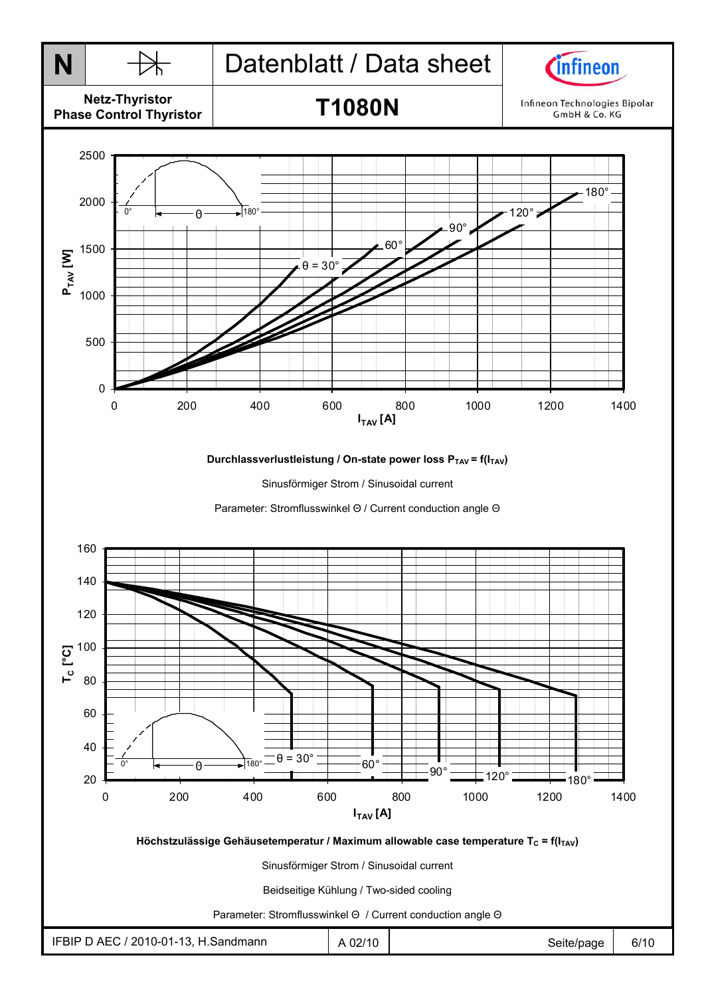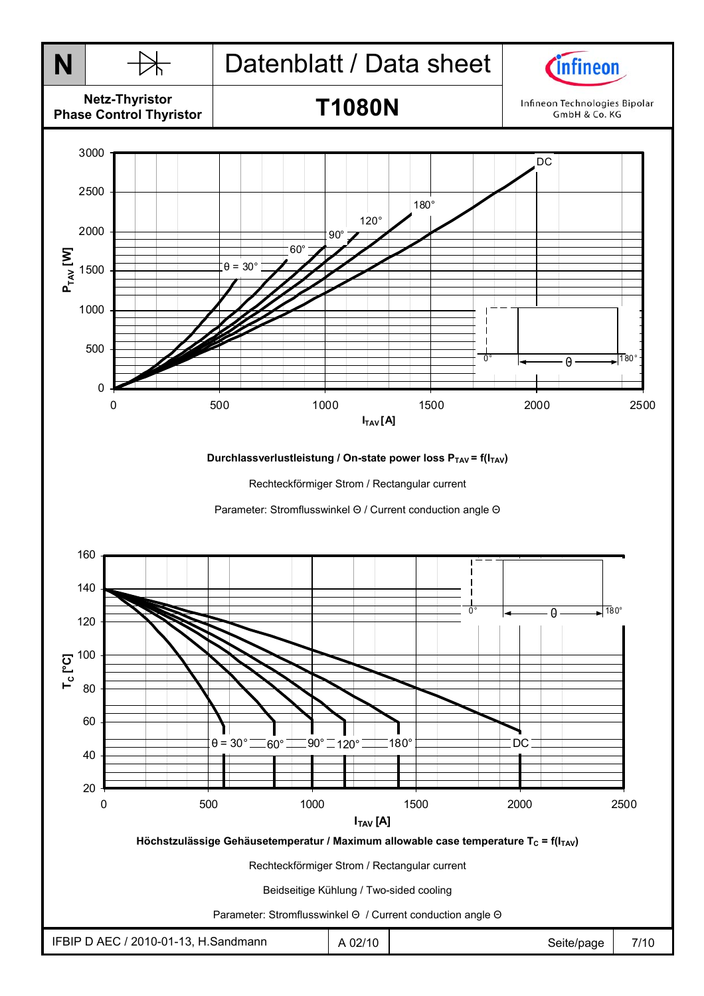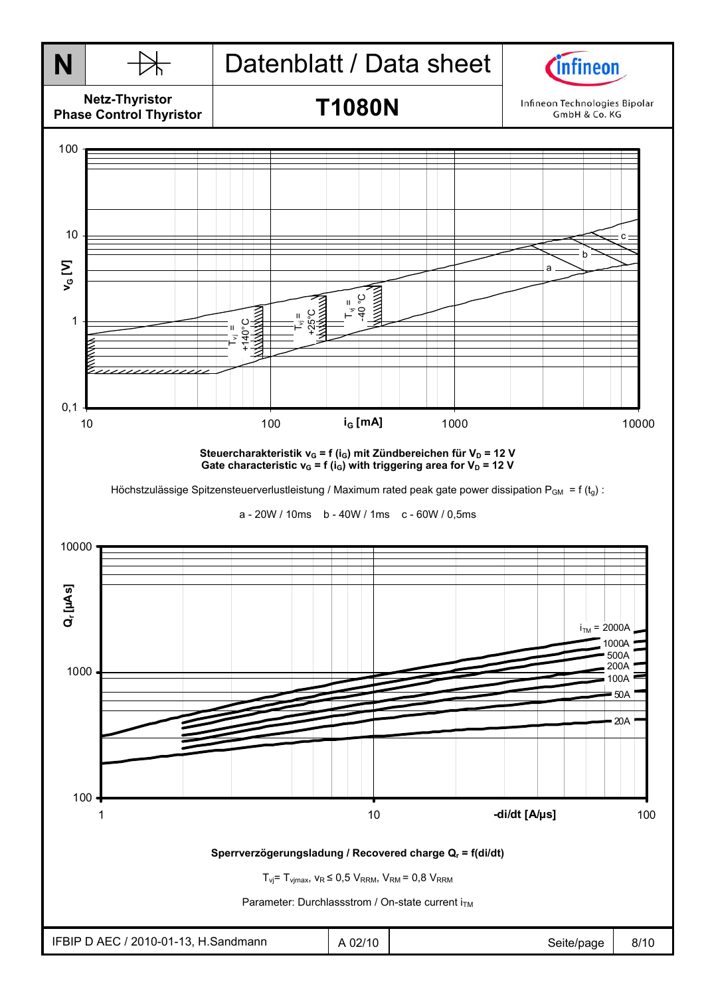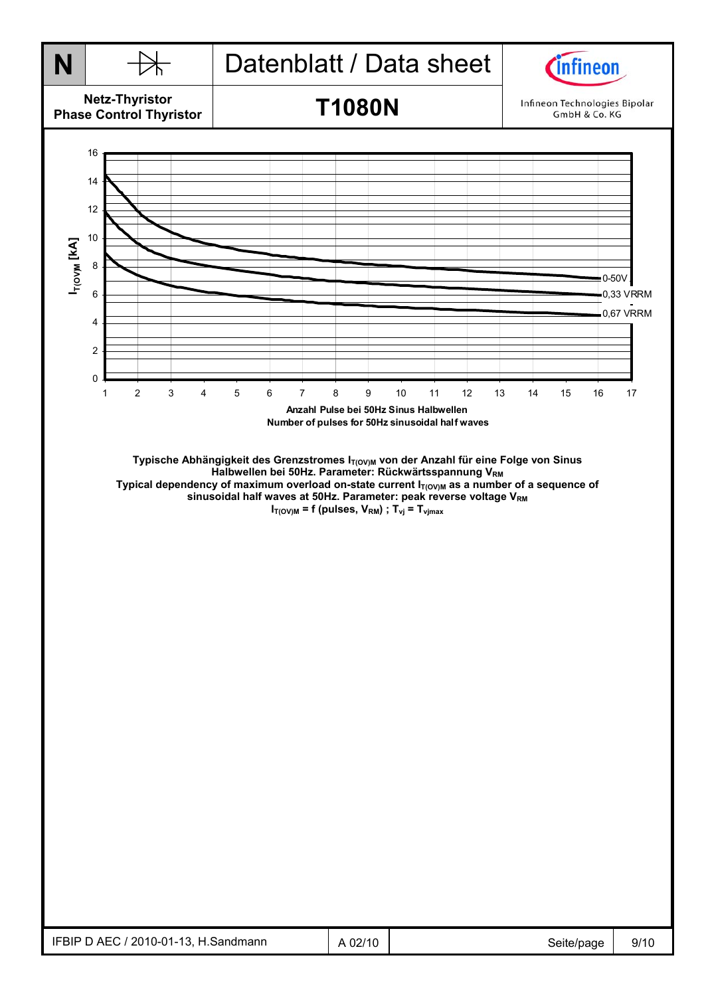